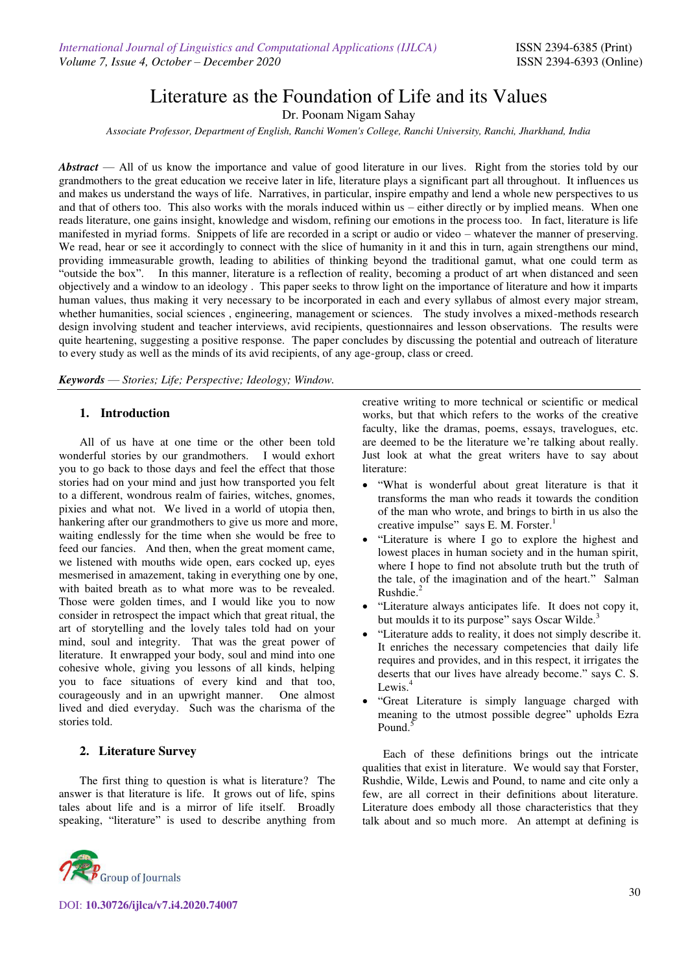# Literature as the Foundation of Life and its Values

Dr. Poonam Nigam Sahay

*Associate Professor, Department of English, Ranchi Women's College, Ranchi University, Ranchi, Jharkhand, India*

*Abstract* — All of us know the importance and value of good literature in our lives. Right from the stories told by our grandmothers to the great education we receive later in life, literature plays a significant part all throughout. It influences us and makes us understand the ways of life. Narratives, in particular, inspire empathy and lend a whole new perspectives to us and that of others too. This also works with the morals induced within us – either directly or by implied means. When one reads literature, one gains insight, knowledge and wisdom, refining our emotions in the process too. In fact, literature is life manifested in myriad forms. Snippets of life are recorded in a script or audio or video – whatever the manner of preserving. We read, hear or see it accordingly to connect with the slice of humanity in it and this in turn, again strengthens our mind, providing immeasurable growth, leading to abilities of thinking beyond the traditional gamut, what one could term as "outside the box". In this manner, literature is a reflection of reality, becoming a product of art when distanced and seen objectively and a window to an ideology . This paper seeks to throw light on the importance of literature and how it imparts human values, thus making it very necessary to be incorporated in each and every syllabus of almost every major stream, whether humanities, social sciences, engineering, management or sciences. The study involves a mixed-methods research design involving student and teacher interviews, avid recipients, questionnaires and lesson observations. The results were quite heartening, suggesting a positive response. The paper concludes by discussing the potential and outreach of literature to every study as well as the minds of its avid recipients, of any age-group, class or creed.

*Keywords* — *Stories; Life; Perspective; Ideology; Window.* 

## **1. Introduction**

 All of us have at one time or the other been told wonderful stories by our grandmothers. I would exhort you to go back to those days and feel the effect that those stories had on your mind and just how transported you felt to a different, wondrous realm of fairies, witches, gnomes, pixies and what not. We lived in a world of utopia then, hankering after our grandmothers to give us more and more, waiting endlessly for the time when she would be free to feed our fancies. And then, when the great moment came, we listened with mouths wide open, ears cocked up, eyes mesmerised in amazement, taking in everything one by one, with baited breath as to what more was to be revealed. Those were golden times, and I would like you to now consider in retrospect the impact which that great ritual, the art of storytelling and the lovely tales told had on your mind, soul and integrity. That was the great power of literature. It enwrapped your body, soul and mind into one cohesive whole, giving you lessons of all kinds, helping you to face situations of every kind and that too, courageously and in an upwright manner. One almost lived and died everyday. Such was the charisma of the stories told.

## **2. Literature Survey**

The first thing to question is what is literature? The answer is that literature is life. It grows out of life, spins tales about life and is a mirror of life itself. Broadly speaking, "literature" is used to describe anything from



DOI: **10.30726/ijlca/v7.i4.2020.74007**

creative writing to more technical or scientific or medical works, but that which refers to the works of the creative faculty, like the dramas, poems, essays, travelogues, etc. are deemed to be the literature we're talking about really. Just look at what the great writers have to say about literature:

- "What is wonderful about great literature is that it transforms the man who reads it towards the condition of the man who wrote, and brings to birth in us also the creative impulse" says E. M. Forster.<sup>1</sup>
- "Literature is where I go to explore the highest and lowest places in human society and in the human spirit, where I hope to find not absolute truth but the truth of the tale, of the imagination and of the heart." Salman Rushdie.<sup>2</sup>
- "Literature always anticipates life. It does not copy it, but moulds it to its purpose" says Oscar Wilde.<sup>3</sup>
- "Literature adds to reality, it does not simply describe it. It enriches the necessary competencies that daily life requires and provides, and in this respect, it irrigates the deserts that our lives have already become." says C. S. Lewis. $4$
- "Great Literature is simply language charged with meaning to the utmost possible degree" upholds Ezra Pound.<sup>5</sup>

 Each of these definitions brings out the intricate qualities that exist in literature. We would say that Forster, Rushdie, Wilde, Lewis and Pound, to name and cite only a few, are all correct in their definitions about literature. Literature does embody all those characteristics that they talk about and so much more. An attempt at defining is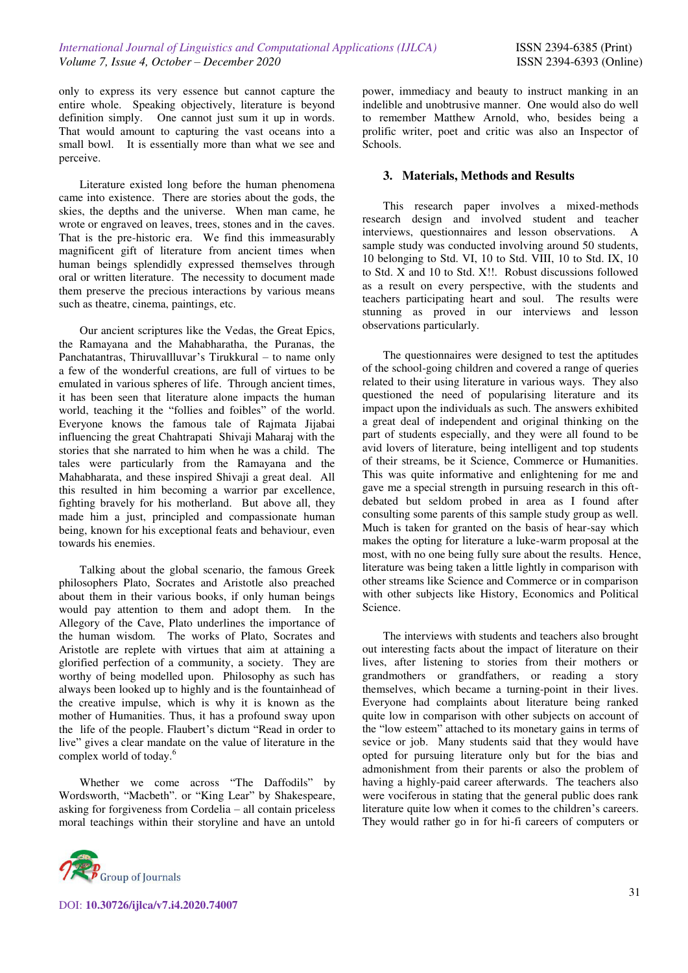only to express its very essence but cannot capture the entire whole. Speaking objectively, literature is beyond definition simply. One cannot just sum it up in words. That would amount to capturing the vast oceans into a small bowl. It is essentially more than what we see and perceive.

Literature existed long before the human phenomena came into existence. There are stories about the gods, the skies, the depths and the universe. When man came, he wrote or engraved on leaves, trees, stones and in the caves. That is the pre-historic era. We find this immeasurably magnificent gift of literature from ancient times when human beings splendidly expressed themselves through oral or written literature. The necessity to document made them preserve the precious interactions by various means such as theatre, cinema, paintings, etc.

Our ancient scriptures like the Vedas, the Great Epics, the Ramayana and the Mahabharatha, the Puranas, the Panchatantras, Thiruvallluvar's Tirukkural – to name only a few of the wonderful creations, are full of virtues to be emulated in various spheres of life. Through ancient times, it has been seen that literature alone impacts the human world, teaching it the "follies and foibles" of the world. Everyone knows the famous tale of Rajmata Jijabai influencing the great Chahtrapati Shivaji Maharaj with the stories that she narrated to him when he was a child. The tales were particularly from the Ramayana and the Mahabharata, and these inspired Shivaji a great deal. All this resulted in him becoming a warrior par excellence, fighting bravely for his motherland. But above all, they made him a just, principled and compassionate human being, known for his exceptional feats and behaviour, even towards his enemies.

Talking about the global scenario, the famous Greek philosophers Plato, Socrates and Aristotle also preached about them in their various books, if only human beings would pay attention to them and adopt them. In the Allegory of the Cave, Plato underlines the importance of the human wisdom. The works of Plato, Socrates and Aristotle are replete with virtues that aim at attaining a glorified perfection of a community, a society. They are worthy of being modelled upon. Philosophy as such has always been looked up to highly and is the fountainhead of the creative impulse, which is why it is known as the mother of Humanities. Thus, it has a profound sway upon the life of the people. Flaubert's dictum "Read in order to live" gives a clear mandate on the value of literature in the complex world of today.<sup>6</sup>

Whether we come across "The Daffodils" by Wordsworth, "Macbeth". or "King Lear" by Shakespeare, asking for forgiveness from Cordelia – all contain priceless moral teachings within their storyline and have an untold



DOI: **10.30726/ijlca/v7.i4.2020.74007**

power, immediacy and beauty to instruct manking in an indelible and unobtrusive manner. One would also do well to remember Matthew Arnold, who, besides being a prolific writer, poet and critic was also an Inspector of Schools.

## **3. Materials, Methods and Results**

This research paper involves a mixed-methods research design and involved student and teacher interviews, questionnaires and lesson observations. A sample study was conducted involving around 50 students, 10 belonging to Std. VI, 10 to Std. VIII, 10 to Std. IX, 10 to Std. X and 10 to Std. X!!. Robust discussions followed as a result on every perspective, with the students and teachers participating heart and soul. The results were stunning as proved in our interviews and lesson observations particularly.

The questionnaires were designed to test the aptitudes of the school-going children and covered a range of queries related to their using literature in various ways. They also questioned the need of popularising literature and its impact upon the individuals as such. The answers exhibited a great deal of independent and original thinking on the part of students especially, and they were all found to be avid lovers of literature, being intelligent and top students of their streams, be it Science, Commerce or Humanities. This was quite informative and enlightening for me and gave me a special strength in pursuing research in this oftdebated but seldom probed in area as I found after consulting some parents of this sample study group as well. Much is taken for granted on the basis of hear-say which makes the opting for literature a luke-warm proposal at the most, with no one being fully sure about the results. Hence, literature was being taken a little lightly in comparison with other streams like Science and Commerce or in comparison with other subjects like History, Economics and Political Science.

The interviews with students and teachers also brought out interesting facts about the impact of literature on their lives, after listening to stories from their mothers or grandmothers or grandfathers, or reading a story themselves, which became a turning-point in their lives. Everyone had complaints about literature being ranked quite low in comparison with other subjects on account of the "low esteem" attached to its monetary gains in terms of sevice or job. Many students said that they would have opted for pursuing literature only but for the bias and admonishment from their parents or also the problem of having a highly-paid career afterwards. The teachers also were vociferous in stating that the general public does rank literature quite low when it comes to the children's careers. They would rather go in for hi-fi careers of computers or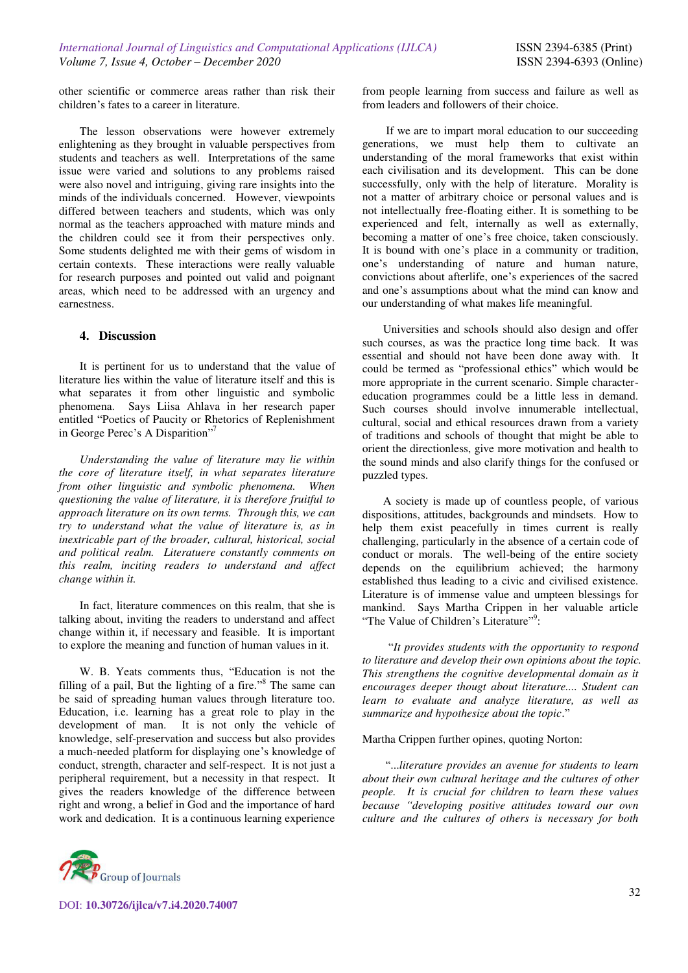other scientific or commerce areas rather than risk their children's fates to a career in literature.

The lesson observations were however extremely enlightening as they brought in valuable perspectives from students and teachers as well. Interpretations of the same issue were varied and solutions to any problems raised were also novel and intriguing, giving rare insights into the minds of the individuals concerned. However, viewpoints differed between teachers and students, which was only normal as the teachers approached with mature minds and the children could see it from their perspectives only. Some students delighted me with their gems of wisdom in certain contexts. These interactions were really valuable for research purposes and pointed out valid and poignant areas, which need to be addressed with an urgency and earnestness.

# **4. Discussion**

It is pertinent for us to understand that the value of literature lies within the value of literature itself and this is what separates it from other linguistic and symbolic phenomena. Says Liisa Ahlava in her research paper entitled "Poetics of Paucity or Rhetorics of Replenishment in George Perec's A Disparition"<sup>7</sup>

*Understanding the value of literature may lie within the core of literature itself, in what separates literature from other linguistic and symbolic phenomena. When questioning the value of literature, it is therefore fruitful to approach literature on its own terms. Through this, we can try to understand what the value of literature is, as in inextricable part of the broader, cultural, historical, social and political realm. Literatuere constantly comments on this realm, inciting readers to understand and affect change within it.* 

In fact, literature commences on this realm, that she is talking about, inviting the readers to understand and affect change within it, if necessary and feasible. It is important to explore the meaning and function of human values in it.

W. B. Yeats comments thus, "Education is not the filling of a pail, But the lighting of a fire."<sup>8</sup> The same can be said of spreading human values through literature too. Education, i.e. learning has a great role to play in the development of man. It is not only the vehicle of knowledge, self-preservation and success but also provides a much-needed platform for displaying one's knowledge of conduct, strength, character and self-respect. It is not just a peripheral requirement, but a necessity in that respect. It gives the readers knowledge of the difference between right and wrong, a belief in God and the importance of hard work and dedication. It is a continuous learning experience



 If we are to impart moral education to our succeeding generations, we must help them to cultivate an understanding of the moral frameworks that exist within each civilisation and its development. This can be done successfully, only with the help of literature. Morality is not a matter of arbitrary choice or personal values and is not intellectually free-floating either. It is something to be experienced and felt, internally as well as externally, becoming a matter of one's free choice, taken consciously. It is bound with one's place in a community or tradition, one's understanding of nature and human nature, convictions about afterlife, one's experiences of the sacred and one's assumptions about what the mind can know and our understanding of what makes life meaningful.

Universities and schools should also design and offer such courses, as was the practice long time back. It was essential and should not have been done away with. It could be termed as "professional ethics" which would be more appropriate in the current scenario. Simple charactereducation programmes could be a little less in demand. Such courses should involve innumerable intellectual, cultural, social and ethical resources drawn from a variety of traditions and schools of thought that might be able to orient the directionless, give more motivation and health to the sound minds and also clarify things for the confused or puzzled types.

A society is made up of countless people, of various dispositions, attitudes, backgrounds and mindsets. How to help them exist peacefully in times current is really challenging, particularly in the absence of a certain code of conduct or morals. The well-being of the entire society depends on the equilibrium achieved; the harmony established thus leading to a civic and civilised existence. Literature is of immense value and umpteen blessings for mankind. Says Martha Crippen in her valuable article "The Value of Children's Literature"?

 "*It provides students with the opportunity to respond to literature and develop their own opinions about the topic. This strengthens the cognitive developmental domain as it encourages deeper thougt about literature.... Student can learn to evaluate and analyze literature, as well as summarize and hypothesize about the topic*."

#### Martha Crippen further opines, quoting Norton:

 "...*literature provides an avenue for students to learn about their own cultural heritage and the cultures of other people. It is crucial for children to learn these values because "developing positive attitudes toward our own culture and the cultures of others is necessary for both*